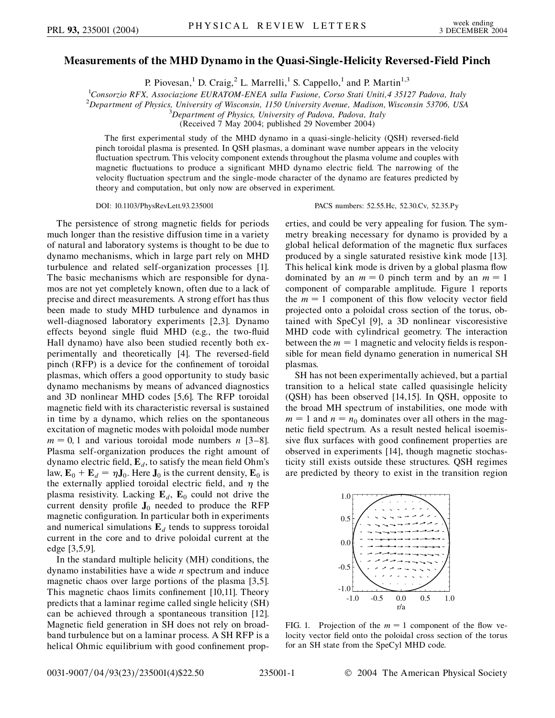## **Measurements of the MHD Dynamo in the Quasi-Single-Helicity Reversed-Field Pinch**

P. Piovesan,<sup>1</sup> D. Craig,<sup>2</sup> L. Marrelli,<sup>1</sup> S. Cappello,<sup>1</sup> and P. Martin<sup>1,3</sup>

1 *Consorzio RFX, Associazione EURATOM-ENEA sulla Fusione, Corso Stati Uniti,4 35127 Padova, Italy*

<sup>2</sup>Department of Physics, University of Wisconsin, 1150 University Avenue, Madison, Wisconsin 53706, USA<br><sup>3</sup>Department of Physics, University of Padova, Padova, Italy

*Department of Physics, University of Padova, Padova, Italy*

(Received 7 May 2004; published 29 November 2004)

The first experimental study of the MHD dynamo in a quasi-single-helicity (QSH) reversed-field pinch toroidal plasma is presented. In QSH plasmas, a dominant wave number appears in the velocity fluctuation spectrum. This velocity component extends throughout the plasma volume and couples with magnetic fluctuations to produce a significant MHD dynamo electric field. The narrowing of the velocity fluctuation spectrum and the single-mode character of the dynamo are features predicted by theory and computation, but only now are observed in experiment.

DOI: 10.1103/PhysRevLett.93.235001 PACS numbers: 52.55.Hc, 52.30.Cv, 52.35.Py

The persistence of strong magnetic fields for periods much longer than the resistive diffusion time in a variety of natural and laboratory systems is thought to be due to dynamo mechanisms, which in large part rely on MHD turbulence and related self-organization processes [1]. The basic mechanisms which are responsible for dynamos are not yet completely known, often due to a lack of precise and direct measurements. A strong effort has thus been made to study MHD turbulence and dynamos in well-diagnosed laboratory experiments [2,3]. Dynamo effects beyond single fluid MHD (e.g., the two-fluid Hall dynamo) have also been studied recently both experimentally and theoretically [4]. The reversed-field pinch (RFP) is a device for the confinement of toroidal plasmas, which offers a good opportunity to study basic dynamo mechanisms by means of advanced diagnostics and 3D nonlinear MHD codes [5,6]. The RFP toroidal magnetic field with its characteristic reversal is sustained in time by a dynamo, which relies on the spontaneous excitation of magnetic modes with poloidal mode number  $m = 0, 1$  and various toroidal mode numbers *n* [3–8]. Plasma self-organization produces the right amount of dynamo electric field,  $\mathbf{E}_d$ , to satisfy the mean field Ohm's law,  $\mathbf{E}_0 + \mathbf{E}_d = \eta \mathbf{J}_0$ . Here  $\mathbf{J}_0$  is the current density,  $\mathbf{E}_0$  is the externally applied toroidal electric field, and  $\eta$  the plasma resistivity. Lacking  $\mathbf{E}_d$ ,  $\mathbf{E}_0$  could not drive the current density profile  $J_0$  needed to produce the RFP magnetic configuration. In particular both in experiments and numerical simulations  $\mathbf{E}_d$  tends to suppress toroidal current in the core and to drive poloidal current at the edge [3,5,9].

In the standard multiple helicity (MH) conditions, the dynamo instabilities have a wide *n* spectrum and induce magnetic chaos over large portions of the plasma [3,5]. This magnetic chaos limits confinement [10,11]. Theory predicts that a laminar regime called single helicity (SH) can be achieved through a spontaneous transition [12]. Magnetic field generation in SH does not rely on broadband turbulence but on a laminar process. A SH RFP is a helical Ohmic equilibrium with good confinement properties, and could be very appealing for fusion. The symmetry breaking necessary for dynamo is provided by a global helical deformation of the magnetic flux surfaces produced by a single saturated resistive kink mode [13]. This helical kink mode is driven by a global plasma flow dominated by an  $m = 0$  pinch term and by an  $m = 1$ component of comparable amplitude. Figure 1 reports the  $m = 1$  component of this flow velocity vector field projected onto a poloidal cross section of the torus, obtained with SpeCyl [9], a 3D nonlinear viscoresistive MHD code with cylindrical geometry. The interaction between the  $m = 1$  magnetic and velocity fields is responsible for mean field dynamo generation in numerical SH plasmas.

SH has not been experimentally achieved, but a partial transition to a helical state called quasisingle helicity (QSH) has been observed [14,15]. In QSH, opposite to the broad MH spectrum of instabilities, one mode with  $m = 1$  and  $n = n_0$  dominates over all others in the magnetic field spectrum. As a result nested helical isoemissive flux surfaces with good confinement properties are observed in experiments [14], though magnetic stochasticity still exists outside these structures. QSH regimes are predicted by theory to exist in the transition region



FIG. 1. Projection of the  $m = 1$  component of the flow velocity vector field onto the poloidal cross section of the torus for an SH state from the SpeCyl MHD code.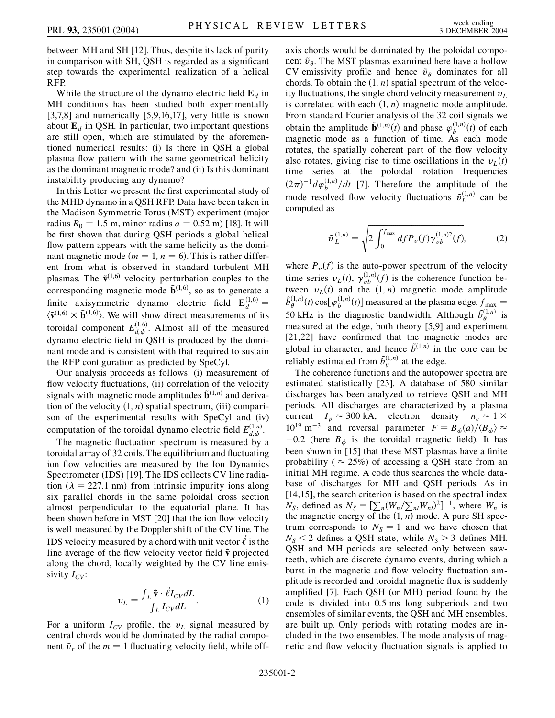between MH and SH [12]. Thus, despite its lack of purity in comparison with SH, QSH is regarded as a significant step towards the experimental realization of a helical RFP.

While the structure of the dynamo electric field  $\mathbf{E}_d$  in MH conditions has been studied both experimentally [3,7,8] and numerically [5,9,16,17], very little is known about  $\mathbf{E}_d$  in QSH. In particular, two important questions are still open, which are stimulated by the aforementioned numerical results: (i) Is there in QSH a global plasma flow pattern with the same geometrical helicity as the dominant magnetic mode? and (ii) Is this dominant instability producing any dynamo?

In this Letter we present the first experimental study of the MHD dynamo in a QSH RFP. Data have been taken in the Madison Symmetric Torus (MST) experiment (major radius  $R_0 = 1.5$  m, minor radius  $a = 0.52$  m) [18]. It will be first shown that during QSH periods a global helical flow pattern appears with the same helicity as the dominant magnetic mode  $(m = 1, n = 6)$ . This is rather different from what is observed in standard turbulent MH plasmas. The  $\tilde{v}^{(1,6)}$  velocity perturbation couples to the corresponding magnetic mode  $\tilde{\mathbf{b}}^{(1,6)}$ , so as to generate a finite axisymmetric dynamo electric field  $\mathbf{E}_d^{(1,6)} =$  $\langle \tilde{\mathbf{v}}^{(1,6)} \times \tilde{\mathbf{b}}^{(1,6)} \rangle$ . We will show direct measurements of its toroidal component  $E_{d,\phi}^{(1,6)}$ . Almost all of the measured dynamo electric field in QSH is produced by the dominant mode and is consistent with that required to sustain the RFP configuration as predicted by SpeCyl.

Our analysis proceeds as follows: (i) measurement of flow velocity fluctuations, (ii) correlation of the velocity signals with magnetic mode amplitudes  $\tilde{\mathbf{b}}^{(1,n)}$  and derivation of the velocity  $(1, n)$  spatial spectrum,  $(iii)$  comparison of the experimental results with SpeCyl and (iv) computation of the toroidal dynamo electric field  $E_{d,\phi}^{(1,n)}$ .

The magnetic fluctuation spectrum is measured by a toroidal array of 32 coils. The equilibrium and fluctuating ion flow velocities are measured by the Ion Dynamics Spectrometer (IDS) [19]. The IDS collects CV line radiation  $(\lambda = 227.1 \text{ nm})$  from intrinsic impurity ions along six parallel chords in the same poloidal cross section almost perpendicular to the equatorial plane. It has been shown before in MST [20] that the ion flow velocity is well measured by the Doppler shift of the CV line. The IDS velocity measured by a chord with unit vector  $\vec{\ell}$  is the line average of the flow velocity vector field  $\vec{v}$  projected along the chord, locally weighted by the CV line emissivity  $I_{CV}$ :

$$
v_L = \frac{\int_L \vec{v} \cdot \vec{\ell} I_{CV} dL}{\int_L I_{CV} dL}.
$$
 (1)

For a uniform  $I_{CV}$  profile, the  $v_L$  signal measured by central chords would be dominated by the radial component  $\tilde{v}_r$  of the  $m = 1$  fluctuating velocity field, while offaxis chords would be dominated by the poloidal component  $\tilde{v}_\theta$ . The MST plasmas examined here have a hollow CV emissivity profile and hence  $\tilde{v}_\theta$  dominates for all chords. To obtain the  $(1, n)$  spatial spectrum of the velocity fluctuations, the single chord velocity measurement  $v_L$ is correlated with each  $(1, n)$  magnetic mode amplitude. From standard Fourier analysis of the 32 coil signals we obtain the amplitude  $\tilde{\mathbf{b}}^{(1,n)}(t)$  and phase  $\varphi_b^{(1,n)}(t)$  of each magnetic mode as a function of time. As each mode rotates, the spatially coherent part of the flow velocity also rotates, giving rise to time oscillations in the  $v<sub>I</sub>(t)$ time series at the poloidal rotation frequencies  $(2\pi)^{-1} d\varphi_b^{(1,n)}/dt$  [7]. Therefore the amplitude of the mode resolved flow velocity fluctuations  $\tilde{v}_L^{(1,n)}$  can be computed as

$$
\tilde{\nu}_L^{(1,n)} = \sqrt{2 \int_0^{f_{\text{max}}} df P_{\nu}(f) \gamma_{\nu b}^{(1,n)2}(f)},
$$
 (2)

where  $P_{\nu}(f)$  is the auto-power spectrum of the velocity time series  $v_L(t)$ ,  $\gamma_{vb}^{(1,n)}(f)$  is the coherence function between  $v_L(t)$  and the  $(1, n)$  magnetic mode amplitude  $\tilde{b}_{\theta}^{(1,n)}(t)$  cos[ $\varphi_b^{(1,n)}(t)$ ] measured at the plasma edge.  $f_{\text{max}} =$ 50 kHz is the diagnostic bandwidth. Although  $\tilde{b}_{\theta}^{(1,n)}$  is measured at the edge, both theory [5,9] and experiment [21,22] have confirmed that the magnetic modes are global in character, and hence  $\tilde{b}^{(1,n)}$  in the core can be reliably estimated from  $\tilde{b}_{\theta}^{(1,n)}$  at the edge.

The coherence functions and the autopower spectra are estimated statistically [23]. A database of 580 similar discharges has been analyzed to retrieve QSH and MH periods. All discharges are characterized by a plasma current  $I_p \approx 300 \text{ kA}$ , electron density  $n_e \approx 1 \times$  $10^{19}$  m<sup>-3</sup> and reversal parameter  $F = B_{\phi}(a)/\langle B_{\phi} \rangle \approx$  $-0.2$  (here  $B_{\phi}$  is the toroidal magnetic field). It has been shown in [15] that these MST plasmas have a finite probability ( $\approx 25\%$ ) of accessing a QSH state from an initial MH regime. A code thus searches the whole database of discharges for MH and QSH periods. As in [14,15], the search criterion is based on the spectral index  $N_S$ , defined as  $N_S = [\sum_n (W_n/\sum_{n} W_n)^2]^{-1}$ , where  $W_n$  is the magnetic energy of the  $(1, n)$  mode. A pure SH spectrum corresponds to  $N<sub>S</sub> = 1$  and we have chosen that  $N_S$  < 2 defines a QSH state, while  $N_S$  > 3 defines MH. QSH and MH periods are selected only between sawteeth, which are discrete dynamo events, during which a burst in the magnetic and flow velocity fluctuation amplitude is recorded and toroidal magnetic flux is suddenly amplified [7]. Each QSH (or MH) period found by the code is divided into 0*:*5 ms long subperiods and two ensembles of similar events, the QSH and MH ensembles, are built up. Only periods with rotating modes are included in the two ensembles. The mode analysis of magnetic and flow velocity fluctuation signals is applied to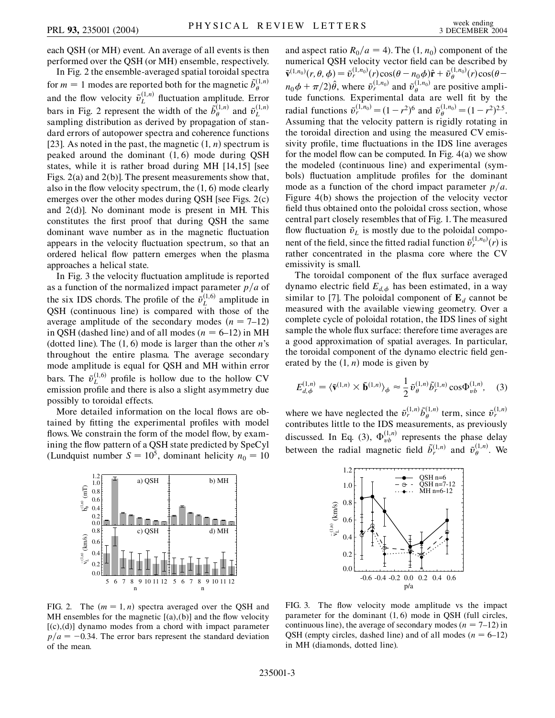each QSH (or MH) event. An average of all events is then performed over the QSH (or MH) ensemble, respectively.

In Fig. 2 the ensemble-averaged spatial toroidal spectra for  $m = 1$  modes are reported both for the magnetic  $\tilde{b}_{\theta}^{(1,n)}$ and the flow velocity  $\tilde{v}_L^{(1,n)}$  fluctuation amplitude. Error bars in Fig. 2 represent the width of the  $\tilde{b}_{\theta}^{(1,n)}$  and  $\tilde{v}_{L}^{(1,n)}$ sampling distribution as derived by propagation of standard errors of autopower spectra and coherence functions [23]. As noted in the past, the magnetic  $(1, n)$  spectrum is peaked around the dominant  $(1, 6)$  mode during QSH states, while it is rather broad during MH [14,15] [see Figs. 2(a) and 2(b)]. The present measurements show that, also in the flow velocity spectrum, the  $(1, 6)$  mode clearly emerges over the other modes during QSH [see Figs. 2(c) and 2(d)]. No dominant mode is present in MH. This constitutes the first proof that during QSH the same dominant wave number as in the magnetic fluctuation appears in the velocity fluctuation spectrum, so that an ordered helical flow pattern emerges when the plasma approaches a helical state.

In Fig. 3 the velocity fluctuation amplitude is reported as a function of the normalized impact parameter  $p/a$  of the six IDS chords. The profile of the  $\tilde{v}_L^{(1,6)}$  amplitude in QSH (continuous line) is compared with those of the average amplitude of the secondary modes  $(n = 7-12)$ in QSH (dashed line) and of all modes  $(n = 6-12)$  in MH (dotted line). The  $(1, 6)$  mode is larger than the other *n*'s throughout the entire plasma. The average secondary mode amplitude is equal for QSH and MH within error bars. The  $\tilde{v}_L^{(1,6)}$  profile is hollow due to the hollow CV emission profile and there is also a slight asymmetry due possibly to toroidal effects.

More detailed information on the local flows are obtained by fitting the experimental profiles with model flows. We constrain the form of the model flow, by examining the flow pattern of a QSH state predicted by SpeCyl (Lundquist number  $S = 10^5$ , dominant helicity  $n_0 = 10$ 



FIG. 2. The  $(m = 1, n)$  spectra averaged over the QSH and MH ensembles for the magnetic  $[(a),(b)]$  and the flow velocity  $[(c),(d)]$  dynamo modes from a chord with impact parameter  $p/a = -0.34$ . The error bars represent the standard deviation of the mean.

and aspect ratio  $R_0/a = 4$ ). The  $(1, n_0)$  component of the numerical QSH velocity vector field can be described by  $\tilde{\mathbf{v}}^{(1,n_0)}(r, \theta, \phi) = \tilde{v}_r^{(1,n_0)}(r) \cos(\theta - n_0 \phi) \hat{\mathbf{r}} + \tilde{v}_{\theta}^{(1,n_0)}(r) \cos(\theta - n_0 \phi)$  $n_0 \phi + \pi/2 \hat{\theta}$ , where  $\tilde{v}_r^{(1,n_0)}$  and  $\tilde{v}_{\theta}^{(1,n_0)}$  are positive amplitude functions. Experimental data are well fit by the radial functions  $\tilde{v}_r^{(1,n_0)} = (1 - r^2)^6$  and  $\tilde{v}_{\theta}^{(1,n_0)} = (1 - r^2)^{2.5}$ . Assuming that the velocity pattern is rigidly rotating in the toroidal direction and using the measured CV emissivity profile, time fluctuations in the IDS line averages for the model flow can be computed. In Fig. 4(a) we show the modeled (continuous line) and experimental (symbols) fluctuation amplitude profiles for the dominant mode as a function of the chord impact parameter  $p/a$ . Figure 4(b) shows the projection of the velocity vector field thus obtained onto the poloidal cross section, whose central part closely resembles that of Fig. 1. The measured flow fluctuation  $\tilde{v}_L$  is mostly due to the poloidal component of the field, since the fitted radial function  $\tilde{v}_r^{(1,n_0)}(r)$  is rather concentrated in the plasma core where the CV emissivity is small.

The toroidal component of the flux surface averaged dynamo electric field  $E_{d,\phi}$  has been estimated, in a way similar to [7]. The poloidal component of  $\mathbf{E}_d$  cannot be measured with the available viewing geometry. Over a complete cycle of poloidal rotation, the IDS lines of sight sample the whole flux surface: therefore time averages are a good approximation of spatial averages. In particular, the toroidal component of the dynamo electric field generated by the  $(1, n)$  mode is given by

$$
E_{d,\phi}^{(1,n)} = \langle \tilde{\mathbf{v}}^{(1,n)} \times \tilde{\mathbf{b}}^{(1,n)} \rangle_{\phi} \approx \frac{1}{2} \tilde{v}_{\theta}^{(1,n)} \tilde{b}_{r}^{(1,n)} \cos \Phi_{vb}^{(1,n)}, \quad (3)
$$

where we have neglected the  $\tilde{v}_r^{(1,n)} \tilde{b}_{\theta}^{(1,n)}$  term, since  $\tilde{v}_r^{(1,n)}$ contributes little to the IDS measurements, as previously discussed. In Eq. (3),  $\Phi_{\nu b}^{(1,n)}$  represents the phase delay between the radial magnetic field  $\tilde{b}^{(1,n)}_r$  and  $\tilde{v}^{(1,n)}_\theta$ . We



FIG. 3. The flow velocity mode amplitude vs the impact parameter for the dominant  $(1, 6)$  mode in OSH (full circles, continuous line), the average of secondary modes ( $n = 7-12$ ) in QSH (empty circles, dashed line) and of all modes  $(n = 6-12)$ in MH (diamonds, dotted line).